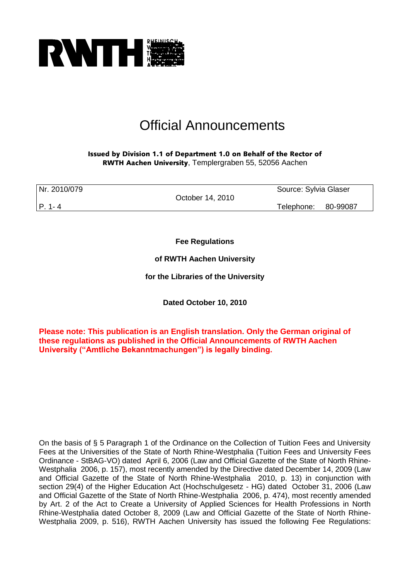

# Official Announcements

Issued by Division 1.1 of Department 1.0 on Behalf of the Rector of RWTH Aachen University, Templergraben 55, 52056 Aachen

| Nr. 2010/079 |                  | Source: Sylvia Glaser |  |
|--------------|------------------|-----------------------|--|
|              | October 14, 2010 |                       |  |
| P. 1-4       |                  | Telephone: 80-99087   |  |

**Fee Regulations** 

**of RWTH Aachen University** 

**for the Libraries of the University**

**Dated October 10, 2010**

**Please note: This publication is an English translation. Only the German original of these regulations as published in the Official Announcements of RWTH Aachen University ("Amtliche Bekanntmachungen") is legally binding.**

On the basis of § 5 Paragraph 1 of the Ordinance on the Collection of Tuition Fees and University Fees at the Universities of the State of North Rhine-Westphalia (Tuition Fees and University Fees Ordinance - StBAG-VO) dated April 6, 2006 (Law and Official Gazette of the State of North Rhine-Westphalia 2006, p. 157), most recently amended by the Directive dated December 14, 2009 (Law and Official Gazette of the State of North Rhine-Westphalia 2010, p. 13) in conjunction with section 29(4) of the Higher Education Act (Hochschulgesetz - HG) dated October 31, 2006 (Law and Official Gazette of the State of North Rhine-Westphalia 2006, p. 474), most recently amended by Art. 2 of the Act to Create a University of Applied Sciences for Health Professions in North Rhine-Westphalia dated October 8, 2009 (Law and Official Gazette of the State of North Rhine-Westphalia 2009, p. 516), RWTH Aachen University has issued the following Fee Regulations: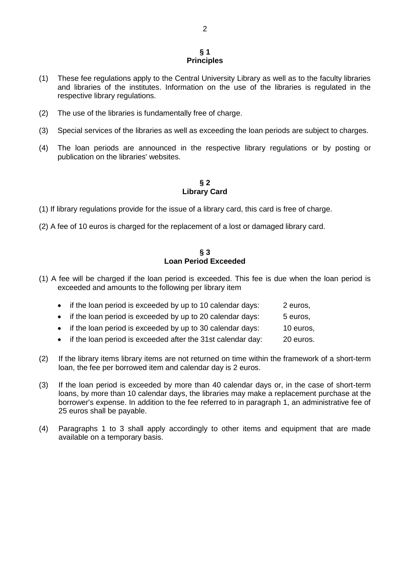#### **§ 1 Principles**

- (1) These fee regulations apply to the Central University Library as well as to the faculty libraries and libraries of the institutes. Information on the use of the libraries is regulated in the respective library regulations.
- (2) The use of the libraries is fundamentally free of charge.
- (3) Special services of the libraries as well as exceeding the loan periods are subject to charges.
- (4) The loan periods are announced in the respective library regulations or by posting or publication on the libraries' websites.

**§ 2 Library Card**

- (1) If library regulations provide for the issue of a library card, this card is free of charge.
- (2) A fee of 10 euros is charged for the replacement of a lost or damaged library card.

## **§ 3 Loan Period Exceeded**

(1) A fee will be charged if the loan period is exceeded. This fee is due when the loan period is exceeded and amounts to the following per library item

| • if the loan period is exceeded by up to 10 calendar days:   | 2 euros.  |
|---------------------------------------------------------------|-----------|
| • if the loan period is exceeded by up to 20 calendar days:   | 5 euros.  |
| • if the loan period is exceeded by up to 30 calendar days:   | 10 euros, |
| • if the loan period is exceeded after the 31st calendar day: | 20 euros. |

- (2) If the library items library items are not returned on time within the framework of a short-term loan, the fee per borrowed item and calendar day is 2 euros.
- (3) If the loan period is exceeded by more than 40 calendar days or, in the case of short-term loans, by more than 10 calendar days, the libraries may make a replacement purchase at the borrower's expense. In addition to the fee referred to in paragraph 1, an administrative fee of 25 euros shall be payable.
- (4) Paragraphs 1 to 3 shall apply accordingly to other items and equipment that are made available on a temporary basis.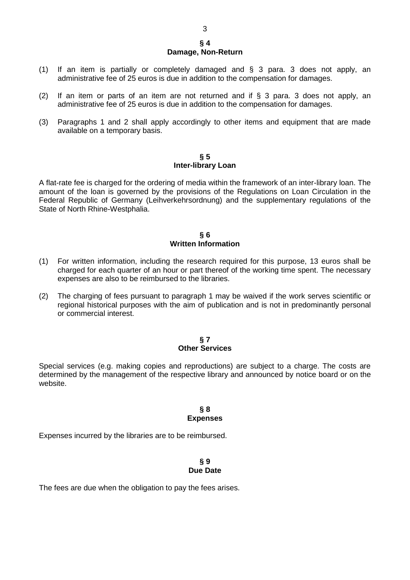#### **§ 4 Damage, Non-Return**

- (1) If an item is partially or completely damaged and § 3 para. 3 does not apply, an administrative fee of 25 euros is due in addition to the compensation for damages.
- (2) If an item or parts of an item are not returned and if  $\S$  3 para. 3 does not apply, an administrative fee of 25 euros is due in addition to the compensation for damages.
- (3) Paragraphs 1 and 2 shall apply accordingly to other items and equipment that are made available on a temporary basis.

#### **§ 5 Inter-library Loan**

A flat-rate fee is charged for the ordering of media within the framework of an inter-library loan. The amount of the loan is governed by the provisions of the Regulations on Loan Circulation in the Federal Republic of Germany (Leihverkehrsordnung) and the supplementary regulations of the State of North Rhine-Westphalia.

### **§ 6 Written Information**

- (1) For written information, including the research required for this purpose, 13 euros shall be charged for each quarter of an hour or part thereof of the working time spent. The necessary expenses are also to be reimbursed to the libraries.
- (2) The charging of fees pursuant to paragraph 1 may be waived if the work serves scientific or regional historical purposes with the aim of publication and is not in predominantly personal or commercial interest.

## **§ 7 Other Services**

Special services (e.g. making copies and reproductions) are subject to a charge. The costs are determined by the management of the respective library and announced by notice board or on the website.

# **§ 8 Expenses**

Expenses incurred by the libraries are to be reimbursed.

## **§ 9 Due Date**

The fees are due when the obligation to pay the fees arises.